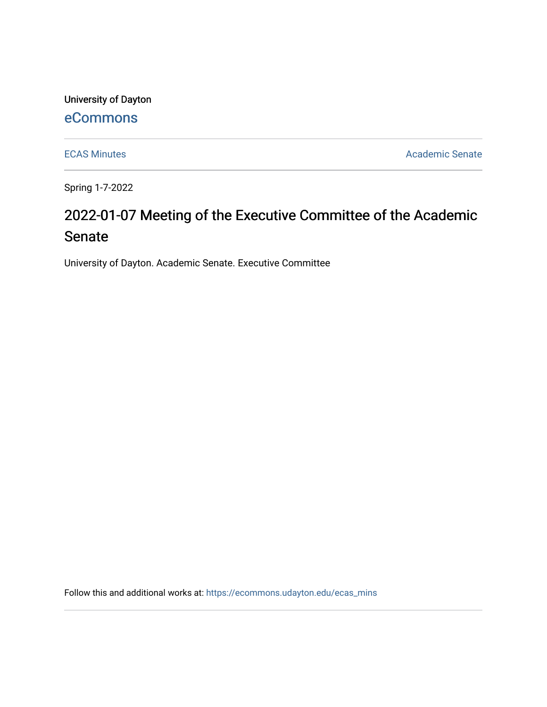University of Dayton

# [eCommons](https://ecommons.udayton.edu/)

[ECAS Minutes](https://ecommons.udayton.edu/ecas_mins) **Academic Senate** 

Spring 1-7-2022

# 2022-01-07 Meeting of the Executive Committee of the Academic Senate

University of Dayton. Academic Senate. Executive Committee

Follow this and additional works at: [https://ecommons.udayton.edu/ecas\\_mins](https://ecommons.udayton.edu/ecas_mins?utm_source=ecommons.udayton.edu%2Fecas_mins%2F546&utm_medium=PDF&utm_campaign=PDFCoverPages)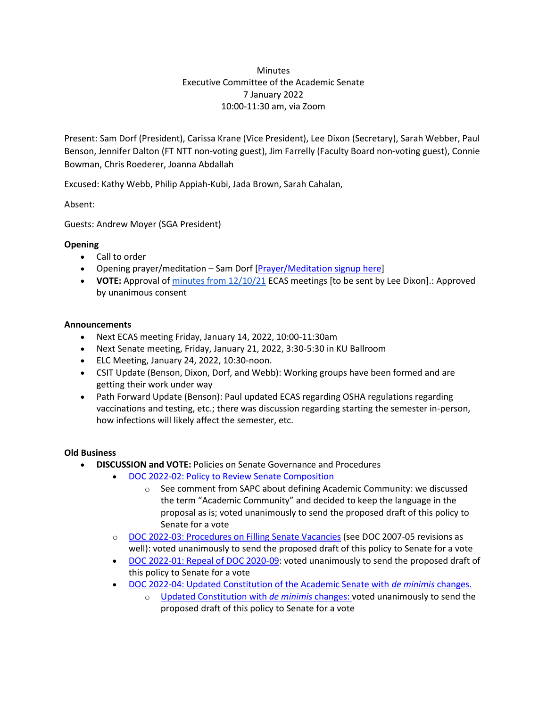### **Minutes** Executive Committee of the Academic Senate 7 January 2022 10:00-11:30 am, via Zoom

Present: Sam Dorf (President), Carissa Krane (Vice President), Lee Dixon (Secretary), Sarah Webber, Paul Benson, Jennifer Dalton (FT NTT non-voting guest), Jim Farrelly (Faculty Board non-voting guest), Connie Bowman, Chris Roederer, Joanna Abdallah

Excused: Kathy Webb, Philip Appiah-Kubi, Jada Brown, Sarah Cahalan,

Absent:

Guests: Andrew Moyer (SGA President)

# **Opening**

- Call to order
- Opening prayer/meditation Sam Dorf [\[Prayer/Meditation signup](https://docs.google.com/document/d/1Say8mwTU7gLV_4XTtxgnfhOrTL-r7Z3r/edit?usp=sharing&ouid=114374222774523335638&rtpof=true&sd=true) here]
- **VOTE:** Approval o[f minutes from 12/10/21](https://docs.google.com/document/d/1lWnZPrsFoy6llmZtbQoezKykePXBffDd/edit?usp=sharing&ouid=114374222774523335638&rtpof=true&sd=true) ECAS meetings [to be sent by Lee Dixon].: Approved by unanimous consent

#### **Announcements**

- Next ECAS meeting Friday, January 14, 2022, 10:00-11:30am
- Next Senate meeting, Friday, January 21, 2022, 3:30-5:30 in KU Ballroom
- ELC Meeting, January 24, 2022, 10:30-noon.
- CSIT Update (Benson, Dixon, Dorf, and Webb): Working groups have been formed and are getting their work under way
- Path Forward Update (Benson): Paul updated ECAS regarding OSHA regulations regarding vaccinations and testing, etc.; there was discussion regarding starting the semester in-person, how infections will likely affect the semester, etc.

# **Old Business**

- **DISCUSSION and VOTE:** Policies on Senate Governance and Procedures
	- [DOC 2022-02: Policy to Review Senate Composition](https://docs.google.com/document/d/11cxi6x-Kpg5wlhPY7hIm8AUj76WvCQWx/edit?usp=sharing&ouid=114374222774523335638&rtpof=true&sd=true)
		- o See comment from SAPC about defining Academic Community: we discussed the term "Academic Community" and decided to keep the language in the proposal as is; voted unanimously to send the proposed draft of this policy to Senate for a vote
	- o [DOC 2022-03: Procedures on Filling Senate Vacancies](https://docs.google.com/document/d/1BpZ_bDP8P1-rgzbuNjU3DXPFjjlztgrl/edit?usp=sharing&ouid=114374222774523335638&rtpof=true&sd=true) (see DOC 2007-05 revisions as well): voted unanimously to send the proposed draft of this policy to Senate for a vote
	- [DOC 2022-01: Repeal of DOC 2020-09:](https://docs.google.com/document/d/14ZfocVj9LwI-D-Qp9kM0WD8mmxh9986lWAa2dzlkPbQ/edit?usp=sharing) voted unanimously to send the proposed draft of this policy to Senate for a vote
	- [DOC 2022-04: Updated Constitution of the Academic Senate with](https://docs.google.com/document/d/1ox8A0t-nacDZqaopeBLeY8MZiGQLfUlj-I4Zpk1Mric/edit?usp=sharing) *de minimis* changes.
		- o [Updated Constitution](https://docs.google.com/document/d/1uppexRYzNvnkk4weM51WR7lJPrHs7BAk/edit?usp=sharing&ouid=114374222774523335638&rtpof=true&sd=true) with *de minimis* changes: voted unanimously to send the proposed draft of this policy to Senate for a vote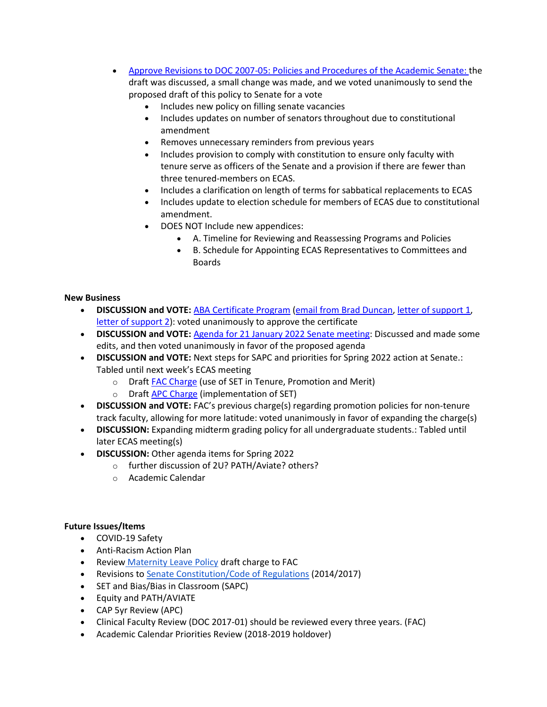- [Approve](https://docs.google.com/document/d/1ZmNF7rGX3fYfE0Lm_mMdDiugAUVZFK-3/edit?usp=sharing&ouid=114374222774523335638&rtpof=true&sd=true) Revisions to DOC 2007-05: Policies and Procedures of the Academic Senate: the draft was discussed, a small change was made, and we voted unanimously to send the proposed draft of this policy to Senate for a vote
	- Includes new policy on filling senate vacancies
	- Includes updates on number of senators throughout due to constitutional amendment
	- Removes unnecessary reminders from previous years
	- Includes provision to comply with constitution to ensure only faculty with tenure serve as officers of the Senate and a provision if there are fewer than three tenured-members on ECAS.
	- Includes a clarification on length of terms for sabbatical replacements to ECAS
	- Includes update to election schedule for members of ECAS due to constitutional amendment.
	- DOES NOT Include new appendices:
		- A. Timeline for Reviewing and Reassessing Programs and Policies
		- B. Schedule for Appointing ECAS Representatives to Committees and Boards

#### **New Business**

- **DISCUSSION and VOTE:** [ABA Certificate Program](https://drive.google.com/file/d/1yp0jp3BpJFnGudsNaQG5pNEKOurR7qTQ/view?usp=sharing) [\(email from Brad Duncan,](https://drive.google.com/file/d/1pl19Igvx6nvxhvV6bwKiYOXuidp4TygP/view?usp=sharing) [letter of support 1,](https://drive.google.com/file/d/1X7buwLBOJ7Fvj15ExpIdrlY5hPhLfUJO/view?usp=sharing) [letter of support 2\)](https://drive.google.com/file/d/1RUxa5qSHxhpnErQATaUbarynj5ksAHOH/view?usp=sharing): voted unanimously to approve the certificate
- **DISCUSSION and VOTE:** [Agenda for 21 January 2022 Senate meeting:](https://docs.google.com/document/d/1TuCE4zeQvko0IckdLX9KKtXtVEGC03_P/edit?usp=sharing&ouid=114374222774523335638&rtpof=true&sd=true) Discussed and made some edits, and then voted unanimously in favor of the proposed agenda
- **DISCUSSION and VOTE:** Next steps for SAPC and priorities for Spring 2022 action at Senate.: Tabled until next week's ECAS meeting
	- o Draf[t FAC Charge](https://docs.google.com/document/d/1PzGQu7-xyTrK8TsjKdLmCeKxVWh3bEQXt3vtuS0dVGY/edit?usp=sharing) (use of SET in Tenure, Promotion and Merit)
	- o Draf[t APC Charge](https://docs.google.com/document/d/1bxZWtPFrGLX7lWEvgpc0avTWRR8xPTLjvQLwT1RqsXw/edit?usp=sharing) (implementation of SET)
- **DISCUSSION and VOTE:** FAC's previous charge(s) regarding promotion policies for non-tenure track faculty, allowing for more latitude: voted unanimously in favor of expanding the charge(s)
- **DISCUSSION:** Expanding midterm grading policy for all undergraduate students.: Tabled until later ECAS meeting(s)
- **DISCUSSION:** Other agenda items for Spring 2022
	- o further discussion of 2U? PATH/Aviate? others?
	- o Academic Calendar

# **Future Issues/Items**

- COVID-19 Safety
- Anti-Racism Action Plan
- Review [Maternity Leave Policy](https://ecommons.udayton.edu/cgi/viewcontent.cgi?article=1038&context=senate_docs) draft charge to FAC
- Revisions to [Senate Constitution/Code of Regulations](https://drive.google.com/file/d/1FE4HIp5nKgfgFEpzkthtUeF-u_54WgeA/view?usp=sharing) (2014/2017)
- SET and Bias/Bias in Classroom (SAPC)
- Equity and PATH/AVIATE
- CAP 5yr Review (APC)
- Clinical Faculty Review (DOC 2017-01) should be reviewed every three years. (FAC)
- Academic Calendar Priorities Review (2018-2019 holdover)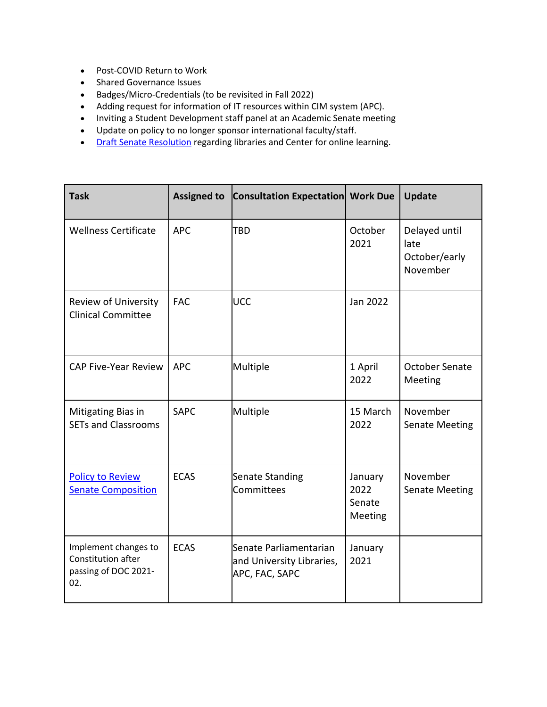- Post-COVID Return to Work
- Shared Governance Issues
- Badges/Micro-Credentials (to be revisited in Fall 2022)
- Adding request for information of IT resources within CIM system (APC).
- Inviting a Student Development staff panel at an Academic Senate meeting
- Update on policy to no longer sponsor international faculty/staff.
- [Draft Senate](https://docs.google.com/document/d/1xjJPkvF1RwPx6ox_v4-haphE0rYF4g6j/edit?usp=sharing&ouid=114374222774523335638&rtpof=true&sd=true) Resolution regarding libraries and Center for online learning.

| <b>Task</b>                                                               | <b>Assigned to</b> | <b>Consultation Expectation Work Due</b>                              |                                      | Update                                             |
|---------------------------------------------------------------------------|--------------------|-----------------------------------------------------------------------|--------------------------------------|----------------------------------------------------|
| <b>Wellness Certificate</b>                                               | <b>APC</b>         | TBD                                                                   | October<br>2021                      | Delayed until<br>late<br>October/early<br>November |
| Review of University<br><b>Clinical Committee</b>                         | <b>FAC</b>         | UCC                                                                   | Jan 2022                             |                                                    |
| <b>CAP Five-Year Review</b>                                               | <b>APC</b>         | Multiple                                                              | 1 April<br>2022                      | October Senate<br>Meeting                          |
| Mitigating Bias in<br><b>SETs and Classrooms</b>                          | <b>SAPC</b>        | Multiple                                                              | 15 March<br>2022                     | November<br><b>Senate Meeting</b>                  |
| <b>Policy to Review</b><br><b>Senate Composition</b>                      | <b>ECAS</b>        | <b>Senate Standing</b><br>Committees                                  | January<br>2022<br>Senate<br>Meeting | November<br><b>Senate Meeting</b>                  |
| Implement changes to<br>Constitution after<br>passing of DOC 2021-<br>02. | <b>ECAS</b>        | Senate Parliamentarian<br>and University Libraries,<br>APC, FAC, SAPC | January<br>2021                      |                                                    |